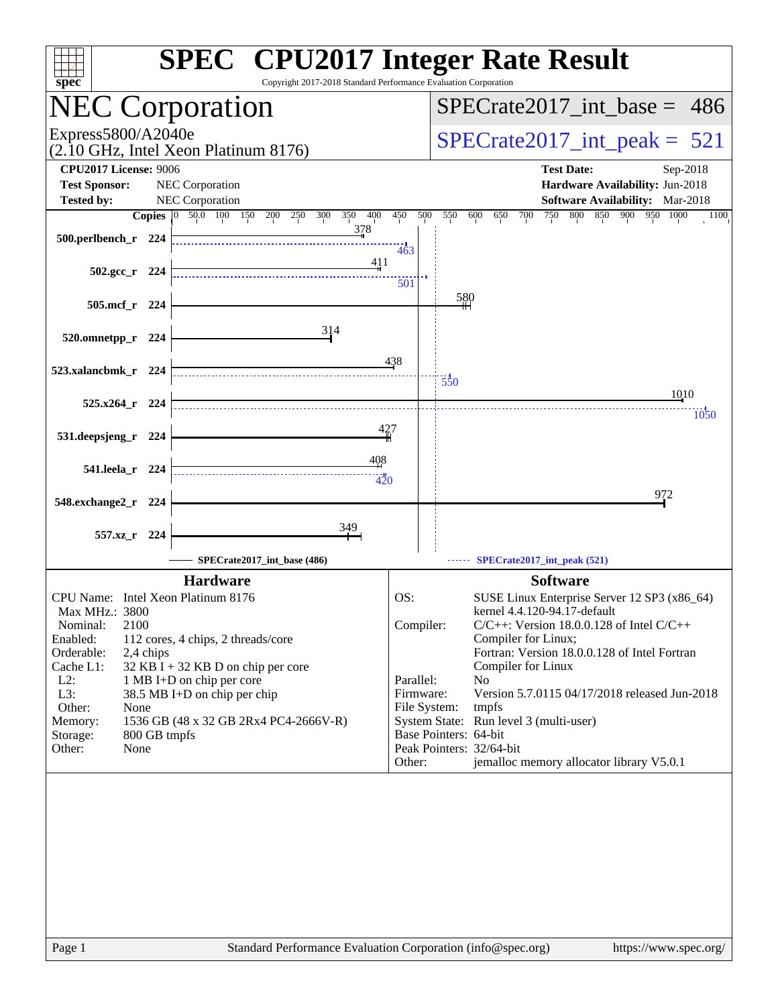| $spec^*$                                                                                                                                                                                                                 | <b>SPEC<sup>®</sup></b> CPU2017 Integer Rate Result<br>Copyright 2017-2018 Standard Performance Evaluation Corporation                                                                            |                                                                      |                                                                                                                                                                                                                                                                                                                                                                                                                                                                      |
|--------------------------------------------------------------------------------------------------------------------------------------------------------------------------------------------------------------------------|---------------------------------------------------------------------------------------------------------------------------------------------------------------------------------------------------|----------------------------------------------------------------------|----------------------------------------------------------------------------------------------------------------------------------------------------------------------------------------------------------------------------------------------------------------------------------------------------------------------------------------------------------------------------------------------------------------------------------------------------------------------|
| <b>NEC Corporation</b>                                                                                                                                                                                                   |                                                                                                                                                                                                   | $SPECrate2017\_int\_base = 486$                                      |                                                                                                                                                                                                                                                                                                                                                                                                                                                                      |
| Express5800/A2040e<br>(2.10 GHz, Intel Xeon Platinum 8176)                                                                                                                                                               |                                                                                                                                                                                                   |                                                                      | $SPECrate2017\_int\_peak = 521$                                                                                                                                                                                                                                                                                                                                                                                                                                      |
| <b>CPU2017 License: 9006</b><br><b>Test Sponsor:</b>                                                                                                                                                                     | NEC Corporation                                                                                                                                                                                   |                                                                      | <b>Test Date:</b><br>Sep-2018<br>Hardware Availability: Jun-2018                                                                                                                                                                                                                                                                                                                                                                                                     |
| <b>Tested by:</b>                                                                                                                                                                                                        | NEC Corporation<br>350                                                                                                                                                                            | 450<br>500                                                           | <b>Software Availability:</b> Mar-2018<br>600<br>750<br>800<br>850<br>900 950 1000                                                                                                                                                                                                                                                                                                                                                                                   |
| 500.perlbench_r 224                                                                                                                                                                                                      | <b>Copies</b> 0 50.0 100 150 200 250<br>400<br>300<br>378                                                                                                                                         |                                                                      | 550<br>700<br>650<br>1100                                                                                                                                                                                                                                                                                                                                                                                                                                            |
| $502.\text{gcc r}$ 224                                                                                                                                                                                                   | 411                                                                                                                                                                                               | 463<br>501                                                           |                                                                                                                                                                                                                                                                                                                                                                                                                                                                      |
| 505.mcf_r 224                                                                                                                                                                                                            |                                                                                                                                                                                                   |                                                                      | 580                                                                                                                                                                                                                                                                                                                                                                                                                                                                  |
| 520.omnetpp_r 224                                                                                                                                                                                                        | 314                                                                                                                                                                                               |                                                                      |                                                                                                                                                                                                                                                                                                                                                                                                                                                                      |
| 523.xalancbmk_r 224                                                                                                                                                                                                      |                                                                                                                                                                                                   | 438                                                                  | $\frac{1}{550}$                                                                                                                                                                                                                                                                                                                                                                                                                                                      |
| 525.x264_r 224                                                                                                                                                                                                           |                                                                                                                                                                                                   |                                                                      | 1010<br>1050                                                                                                                                                                                                                                                                                                                                                                                                                                                         |
| 531.deepsjeng_r 224                                                                                                                                                                                                      | 427                                                                                                                                                                                               |                                                                      |                                                                                                                                                                                                                                                                                                                                                                                                                                                                      |
| 541.leela_r 224                                                                                                                                                                                                          | 408<br>420                                                                                                                                                                                        |                                                                      |                                                                                                                                                                                                                                                                                                                                                                                                                                                                      |
| 548.exchange2_r<br>- 224                                                                                                                                                                                                 |                                                                                                                                                                                                   |                                                                      | 972                                                                                                                                                                                                                                                                                                                                                                                                                                                                  |
| 557.xz_r 224                                                                                                                                                                                                             | 349                                                                                                                                                                                               |                                                                      |                                                                                                                                                                                                                                                                                                                                                                                                                                                                      |
|                                                                                                                                                                                                                          | SPECrate2017_int_base (486)                                                                                                                                                                       |                                                                      | SPECrate2017_int_peak (521)                                                                                                                                                                                                                                                                                                                                                                                                                                          |
| CPU Name: Intel Xeon Platinum 8176<br>Max MHz.: 3800<br>2100<br>Nominal:<br>Enabled:<br>Orderable:<br>2,4 chips<br>Cache L1:<br>$L2$ :<br>L3:<br>Other:<br>None<br>Memory:<br>Storage:<br>800 GB tmpfs<br>Other:<br>None | <b>Hardware</b><br>112 cores, 4 chips, 2 threads/core<br>32 KB I + 32 KB D on chip per core<br>1 MB I+D on chip per core<br>38.5 MB I+D on chip per chip<br>1536 GB (48 x 32 GB 2Rx4 PC4-2666V-R) | OS:<br>Compiler:<br>Parallel:<br>Firmware:<br>File System:<br>Other: | <b>Software</b><br>SUSE Linux Enterprise Server 12 SP3 (x86_64)<br>kernel 4.4.120-94.17-default<br>$C/C++$ : Version 18.0.0.128 of Intel $C/C++$<br>Compiler for Linux;<br>Fortran: Version 18.0.0.128 of Intel Fortran<br>Compiler for Linux<br>N <sub>o</sub><br>Version 5.7.0115 04/17/2018 released Jun-2018<br>tmpfs<br>System State: Run level 3 (multi-user)<br>Base Pointers: 64-bit<br>Peak Pointers: 32/64-bit<br>jemalloc memory allocator library V5.0.1 |
|                                                                                                                                                                                                                          |                                                                                                                                                                                                   |                                                                      |                                                                                                                                                                                                                                                                                                                                                                                                                                                                      |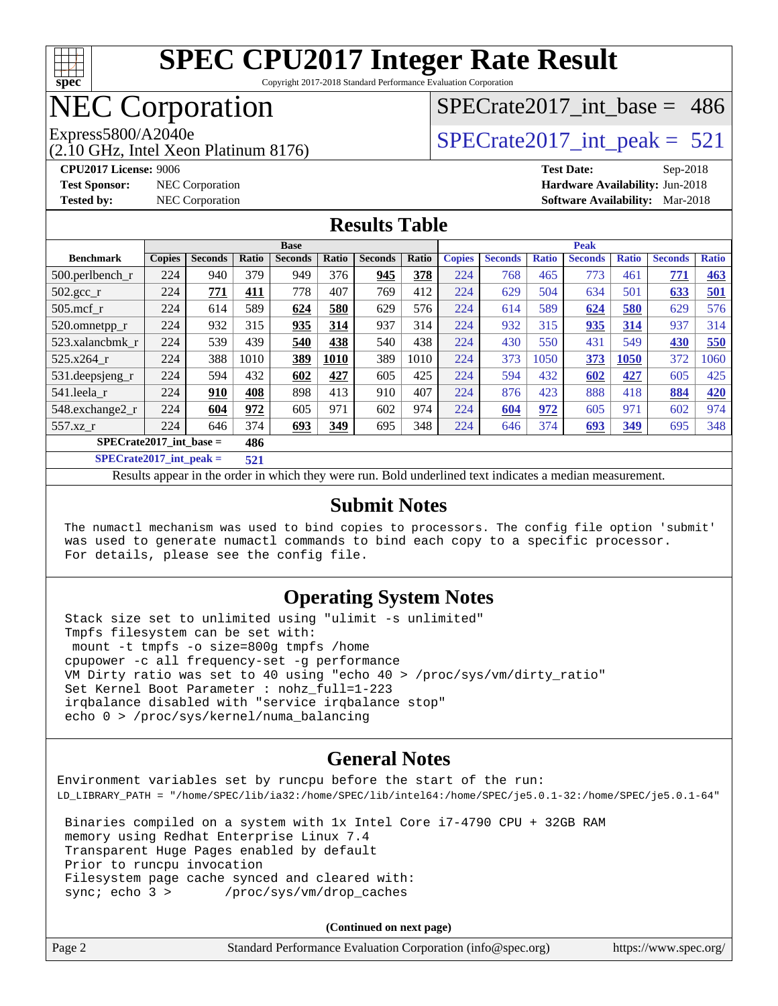

Copyright 2017-2018 Standard Performance Evaluation Corporation

### NEC Corporation

(2.10 GHz, Intel Xeon Platinum 8176)

[SPECrate2017\\_int\\_base =](http://www.spec.org/auto/cpu2017/Docs/result-fields.html#SPECrate2017intbase) 486

Express5800/A2040e<br>  $\angle$  [SPECrate2017\\_int\\_peak =](http://www.spec.org/auto/cpu2017/Docs/result-fields.html#SPECrate2017intpeak) 521

**[CPU2017 License:](http://www.spec.org/auto/cpu2017/Docs/result-fields.html#CPU2017License)** 9006 **[Test Date:](http://www.spec.org/auto/cpu2017/Docs/result-fields.html#TestDate)** Sep-2018 **[Test Sponsor:](http://www.spec.org/auto/cpu2017/Docs/result-fields.html#TestSponsor)** NEC Corporation **[Hardware Availability:](http://www.spec.org/auto/cpu2017/Docs/result-fields.html#HardwareAvailability)** Jun-2018 **[Tested by:](http://www.spec.org/auto/cpu2017/Docs/result-fields.html#Testedby)** NEC Corporation **[Software Availability:](http://www.spec.org/auto/cpu2017/Docs/result-fields.html#SoftwareAvailability)** Mar-2018

#### **[Results Table](http://www.spec.org/auto/cpu2017/Docs/result-fields.html#ResultsTable)**

|                                                  | <b>Base</b>   |                |              |                | <b>Peak</b> |                |       |               |                |              |                |              |                |              |
|--------------------------------------------------|---------------|----------------|--------------|----------------|-------------|----------------|-------|---------------|----------------|--------------|----------------|--------------|----------------|--------------|
| <b>Benchmark</b>                                 | <b>Copies</b> | <b>Seconds</b> | <b>Ratio</b> | <b>Seconds</b> | Ratio       | <b>Seconds</b> | Ratio | <b>Copies</b> | <b>Seconds</b> | <b>Ratio</b> | <b>Seconds</b> | <b>Ratio</b> | <b>Seconds</b> | <b>Ratio</b> |
| 500.perlbench_r                                  | 224           | 940            | 379          | 949            | 376         | 945            | 378   | 224           | 768            | 465          | 773            | 461          | 771            | <b>463</b>   |
| 502.gcc_r                                        | 224           | 771            | 411          | 778            | 407         | 769            | 412   | 224           | 629            | 504          | 634            | 501          | 633            | <u>501</u>   |
| $505$ .mcf r                                     | 224           | 614            | 589          | 624            | 580         | 629            | 576   | 224           | 614            | 589          | 624            | 580          | 629            | 576          |
| 520.omnetpp_r                                    | 224           | 932            | 315          | 935            | 314         | 937            | 314   | 224           | 932            | 315          | 935            | 314          | 937            | 314          |
| 523.xalancbmk r                                  | 224           | 539            | 439          | 540            | 438         | 540            | 438   | 224           | 430            | 550          | 431            | 549          | 430            | 550          |
| 525.x264 r                                       | 224           | 388            | 1010         | 389            | 1010        | 389            | 1010  | 224           | 373            | 1050         | 373            | 1050         | 372            | 1060         |
| 531.deepsjeng_r                                  | 224           | 594            | 432          | 602            | 427         | 605            | 425   | 224           | 594            | 432          | 602            | 427          | 605            | 425          |
| 541.leela r                                      | 224           | 910            | 408          | 898            | 413         | 910            | 407   | 224           | 876            | 423          | 888            | 418          | 884            | 420          |
| 548.exchange2_r                                  | 224           | 604            | 972          | 605            | 971         | 602            | 974   | 224           | 604            | 972          | 605            | 971          | 602            | 974          |
| 557.xz r                                         | 224           | 646            | 374          | 693            | 349         | 695            | 348   | 224           | 646            | 374          | 693            | 349          | 695            | 348          |
| $SPECrate2017$ int base =<br>486                 |               |                |              |                |             |                |       |               |                |              |                |              |                |              |
| $\sim$ $\sim$ $\sim$ $\sim$ $\sim$ $\sim$ $\sim$ |               |                |              |                |             |                |       |               |                |              |                |              |                |              |

**[SPECrate2017\\_int\\_peak =](http://www.spec.org/auto/cpu2017/Docs/result-fields.html#SPECrate2017intpeak) 521**

Results appear in the [order in which they were run](http://www.spec.org/auto/cpu2017/Docs/result-fields.html#RunOrder). Bold underlined text [indicates a median measurement](http://www.spec.org/auto/cpu2017/Docs/result-fields.html#Median).

#### **[Submit Notes](http://www.spec.org/auto/cpu2017/Docs/result-fields.html#SubmitNotes)**

 The numactl mechanism was used to bind copies to processors. The config file option 'submit' was used to generate numactl commands to bind each copy to a specific processor. For details, please see the config file.

#### **[Operating System Notes](http://www.spec.org/auto/cpu2017/Docs/result-fields.html#OperatingSystemNotes)**

 Stack size set to unlimited using "ulimit -s unlimited" Tmpfs filesystem can be set with: mount -t tmpfs -o size=800g tmpfs /home cpupower -c all frequency-set -g performance VM Dirty ratio was set to 40 using "echo 40 > /proc/sys/vm/dirty\_ratio" Set Kernel Boot Parameter : nohz\_full=1-223 irqbalance disabled with "service irqbalance stop" echo 0 > /proc/sys/kernel/numa\_balancing

#### **[General Notes](http://www.spec.org/auto/cpu2017/Docs/result-fields.html#GeneralNotes)**

Environment variables set by runcpu before the start of the run: LD\_LIBRARY\_PATH = "/home/SPEC/lib/ia32:/home/SPEC/lib/intel64:/home/SPEC/je5.0.1-32:/home/SPEC/je5.0.1-64" Binaries compiled on a system with 1x Intel Core i7-4790 CPU + 32GB RAM memory using Redhat Enterprise Linux 7.4 Transparent Huge Pages enabled by default Prior to runcpu invocation Filesystem page cache synced and cleared with:

sync; echo 3 > /proc/sys/vm/drop\_caches

| Page 2 | Standard Performance Evaluation Corporation (info@spec.org) | https://www.spec.org/ |
|--------|-------------------------------------------------------------|-----------------------|
|--------|-------------------------------------------------------------|-----------------------|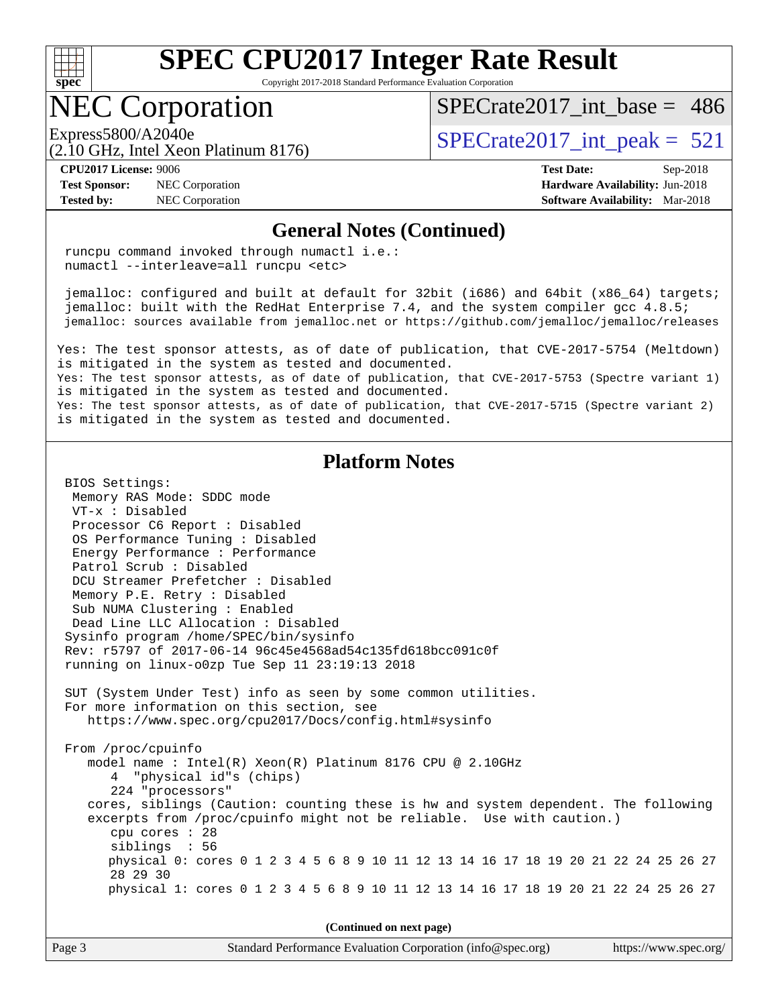

Copyright 2017-2018 Standard Performance Evaluation Corporation

### NEC Corporation

[SPECrate2017\\_int\\_base =](http://www.spec.org/auto/cpu2017/Docs/result-fields.html#SPECrate2017intbase) 486

(2.10 GHz, Intel Xeon Platinum 8176)

**[Test Sponsor:](http://www.spec.org/auto/cpu2017/Docs/result-fields.html#TestSponsor)** NEC Corporation **[Hardware Availability:](http://www.spec.org/auto/cpu2017/Docs/result-fields.html#HardwareAvailability)** Jun-2018

Express5800/A2040e<br>  $\text{SPECrate2017\_int\_peak} = 521$ 

**[CPU2017 License:](http://www.spec.org/auto/cpu2017/Docs/result-fields.html#CPU2017License)** 9006 **[Test Date:](http://www.spec.org/auto/cpu2017/Docs/result-fields.html#TestDate)** Sep-2018 **[Tested by:](http://www.spec.org/auto/cpu2017/Docs/result-fields.html#Testedby)** NEC Corporation **[Software Availability:](http://www.spec.org/auto/cpu2017/Docs/result-fields.html#SoftwareAvailability)** Mar-2018

#### **[General Notes \(Continued\)](http://www.spec.org/auto/cpu2017/Docs/result-fields.html#GeneralNotes)**

 runcpu command invoked through numactl i.e.: numactl --interleave=all runcpu <etc>

 jemalloc: configured and built at default for 32bit (i686) and 64bit (x86\_64) targets; jemalloc: built with the RedHat Enterprise 7.4, and the system compiler gcc 4.8.5; jemalloc: sources available from jemalloc.net or<https://github.com/jemalloc/jemalloc/releases>

Yes: The test sponsor attests, as of date of publication, that CVE-2017-5754 (Meltdown) is mitigated in the system as tested and documented. Yes: The test sponsor attests, as of date of publication, that CVE-2017-5753 (Spectre variant 1) is mitigated in the system as tested and documented.

Yes: The test sponsor attests, as of date of publication, that CVE-2017-5715 (Spectre variant 2) is mitigated in the system as tested and documented.

#### **[Platform Notes](http://www.spec.org/auto/cpu2017/Docs/result-fields.html#PlatformNotes)**

 BIOS Settings: Memory RAS Mode: SDDC mode VT-x : Disabled Processor C6 Report : Disabled OS Performance Tuning : Disabled Energy Performance : Performance Patrol Scrub : Disabled DCU Streamer Prefetcher : Disabled Memory P.E. Retry : Disabled Sub NUMA Clustering : Enabled Dead Line LLC Allocation : Disabled Sysinfo program /home/SPEC/bin/sysinfo Rev: r5797 of 2017-06-14 96c45e4568ad54c135fd618bcc091c0f running on linux-o0zp Tue Sep 11 23:19:13 2018 SUT (System Under Test) info as seen by some common utilities. For more information on this section, see <https://www.spec.org/cpu2017/Docs/config.html#sysinfo> From /proc/cpuinfo model name : Intel(R) Xeon(R) Platinum 8176 CPU @ 2.10GHz 4 "physical id"s (chips) 224 "processors" cores, siblings (Caution: counting these is hw and system dependent. The following excerpts from /proc/cpuinfo might not be reliable. Use with caution.) cpu cores : 28 siblings : 56 physical 0: cores 0 1 2 3 4 5 6 8 9 10 11 12 13 14 16 17 18 19 20 21 22 24 25 26 27 28 29 30 physical 1: cores 0 1 2 3 4 5 6 8 9 10 11 12 13 14 16 17 18 19 20 21 22 24 25 26 27

| Standard Performance Evaluation Corporation (info@spec.org) | https://www.spec.org/ |
|-------------------------------------------------------------|-----------------------|
|                                                             |                       |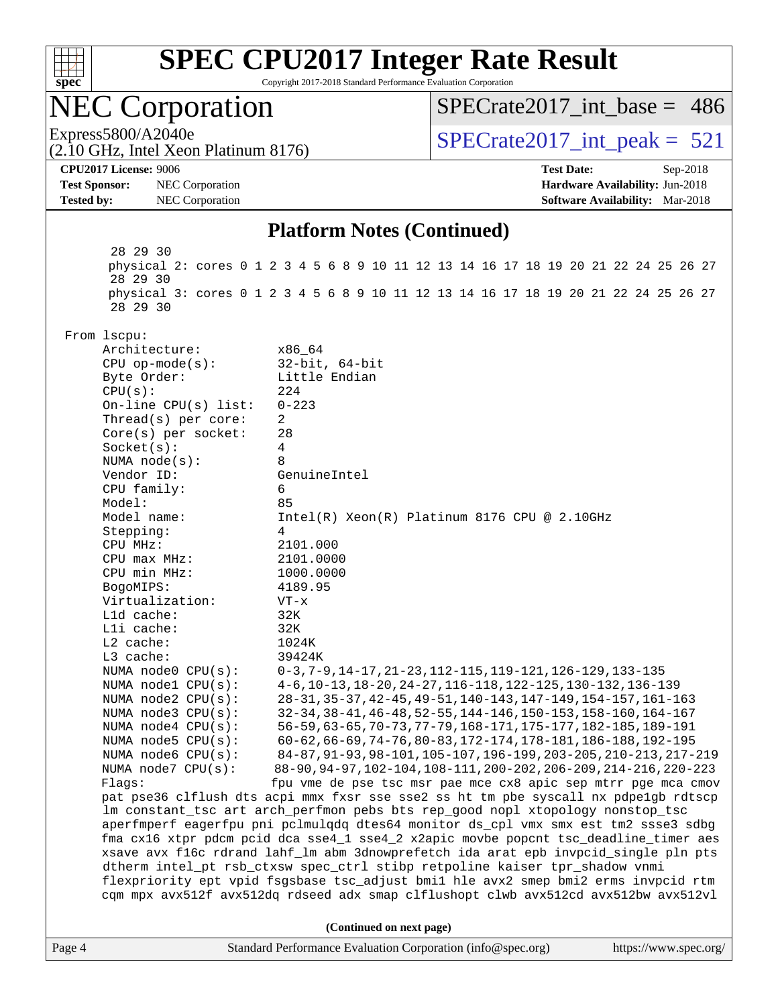

Copyright 2017-2018 Standard Performance Evaluation Corporation

# NEC Corporation

(2.10 GHz, Intel Xeon Platinum 8176)

[SPECrate2017\\_int\\_base =](http://www.spec.org/auto/cpu2017/Docs/result-fields.html#SPECrate2017intbase) 486

Express5800/A2040e<br>  $\text{SPECrate2017\_int\_peak} = 521$ 

**[Test Sponsor:](http://www.spec.org/auto/cpu2017/Docs/result-fields.html#TestSponsor)** NEC Corporation **[Hardware Availability:](http://www.spec.org/auto/cpu2017/Docs/result-fields.html#HardwareAvailability)** Jun-2018 **[Tested by:](http://www.spec.org/auto/cpu2017/Docs/result-fields.html#Testedby)** NEC Corporation **[Software Availability:](http://www.spec.org/auto/cpu2017/Docs/result-fields.html#SoftwareAvailability)** Mar-2018

**[CPU2017 License:](http://www.spec.org/auto/cpu2017/Docs/result-fields.html#CPU2017License)** 9006 **[Test Date:](http://www.spec.org/auto/cpu2017/Docs/result-fields.html#TestDate)** Sep-2018

#### **[Platform Notes \(Continued\)](http://www.spec.org/auto/cpu2017/Docs/result-fields.html#PlatformNotes)**

Page 4 Standard Performance Evaluation Corporation [\(info@spec.org\)](mailto:info@spec.org) <https://www.spec.org/> 28 29 30 physical 2: cores 0 1 2 3 4 5 6 8 9 10 11 12 13 14 16 17 18 19 20 21 22 24 25 26 27 28 29 30 physical 3: cores 0 1 2 3 4 5 6 8 9 10 11 12 13 14 16 17 18 19 20 21 22 24 25 26 27 28 29 30 From lscpu: Architecture: x86\_64 CPU op-mode(s): 32-bit, 64-bit Byte Order: Little Endian CPU(s): 224 On-line CPU(s) list: 0-223 Thread(s) per core: 2 Core(s) per socket: 28 Socket(s): 4 NUMA node(s): 8 Vendor ID: GenuineIntel CPU family: 6 Model: 85<br>Model name: 1n Intel(R) Xeon(R) Platinum 8176 CPU @ 2.10GHz Stepping: 4 CPU MHz: 2101.000 CPU max MHz: 2101.0000 CPU min MHz: 1000.0000 BogoMIPS: 4189.95 Virtualization: VT-x L1d cache: 32K L1i cache: 32K L2 cache: 1024K L3 cache: 39424K<br>NUMA node0 CPU(s): 0-3,7-0-3,7-9,14-17,21-23,112-115,119-121,126-129,133-135 NUMA node1 CPU(s): 4-6,10-13,18-20,24-27,116-118,122-125,130-132,136-139 NUMA node2 CPU(s): 28-31,35-37,42-45,49-51,140-143,147-149,154-157,161-163 NUMA node3 CPU(s): 32-34,38-41,46-48,52-55,144-146,150-153,158-160,164-167 NUMA node4 CPU(s): 56-59,63-65,70-73,77-79,168-171,175-177,182-185,189-191 NUMA node5 CPU(s): 60-62,66-69,74-76,80-83,172-174,178-181,186-188,192-195 NUMA node6 CPU(s): 84-87,91-93,98-101,105-107,196-199,203-205,210-213,217-219 NUMA node7 CPU(s): 88-90,94-97,102-104,108-111,200-202,206-209,214-216,220-223 Flags: fpu vme de pse tsc msr pae mce cx8 apic sep mtrr pge mca cmov pat pse36 clflush dts acpi mmx fxsr sse sse2 ss ht tm pbe syscall nx pdpe1gb rdtscp lm constant\_tsc art arch\_perfmon pebs bts rep\_good nopl xtopology nonstop\_tsc aperfmperf eagerfpu pni pclmulqdq dtes64 monitor ds\_cpl vmx smx est tm2 ssse3 sdbg fma cx16 xtpr pdcm pcid dca sse4\_1 sse4\_2 x2apic movbe popcnt tsc\_deadline\_timer aes xsave avx f16c rdrand lahf\_lm abm 3dnowprefetch ida arat epb invpcid\_single pln pts dtherm intel\_pt rsb\_ctxsw spec\_ctrl stibp retpoline kaiser tpr\_shadow vnmi flexpriority ept vpid fsgsbase tsc\_adjust bmi1 hle avx2 smep bmi2 erms invpcid rtm cqm mpx avx512f avx512dq rdseed adx smap clflushopt clwb avx512cd avx512bw avx512vl **(Continued on next page)**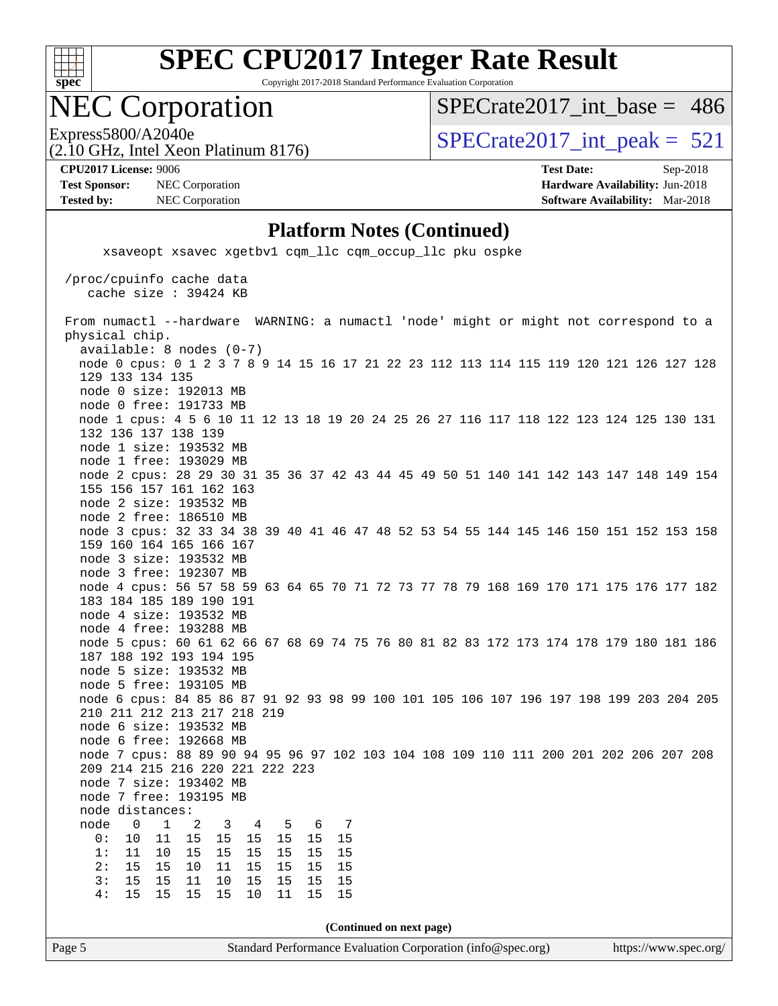

Copyright 2017-2018 Standard Performance Evaluation Corporation

### NEC Corporation

[SPECrate2017\\_int\\_base =](http://www.spec.org/auto/cpu2017/Docs/result-fields.html#SPECrate2017intbase) 486

(2.10 GHz, Intel Xeon Platinum 8176)

Express5800/A2040e<br>  $\text{SPECrate2017\_int\_peak} = 521$ 

**[Test Sponsor:](http://www.spec.org/auto/cpu2017/Docs/result-fields.html#TestSponsor)** NEC Corporation **[Hardware Availability:](http://www.spec.org/auto/cpu2017/Docs/result-fields.html#HardwareAvailability)** Jun-2018

**[CPU2017 License:](http://www.spec.org/auto/cpu2017/Docs/result-fields.html#CPU2017License)** 9006 **[Test Date:](http://www.spec.org/auto/cpu2017/Docs/result-fields.html#TestDate)** Sep-2018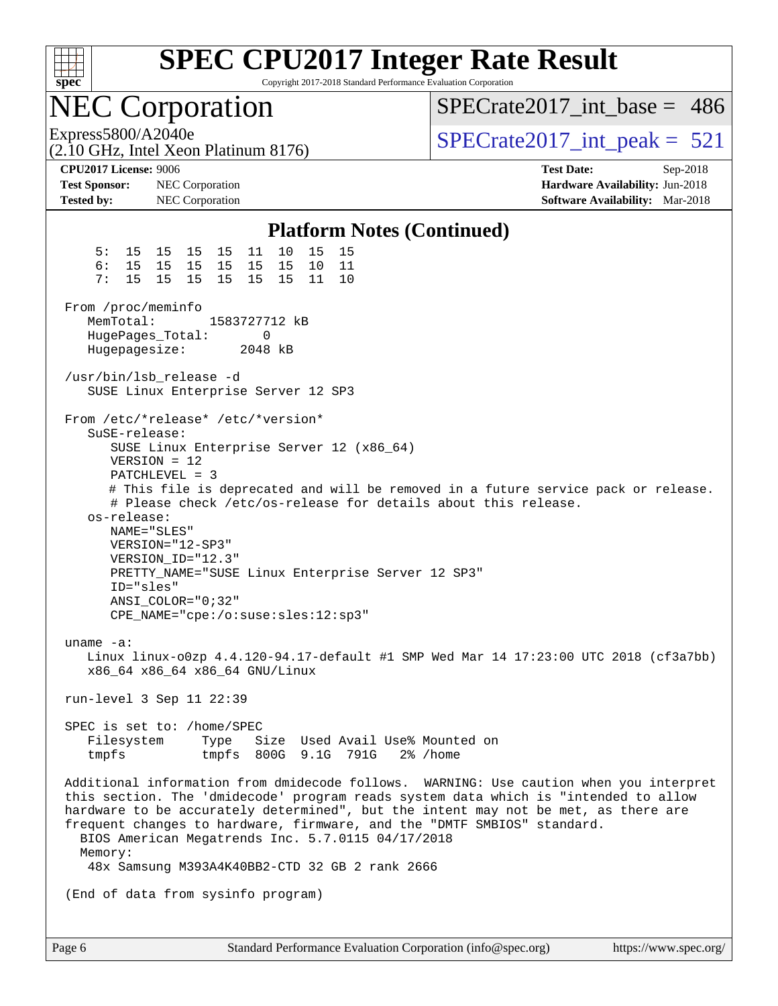

Copyright 2017-2018 Standard Performance Evaluation Corporation

### NEC Corporation

[SPECrate2017\\_int\\_base =](http://www.spec.org/auto/cpu2017/Docs/result-fields.html#SPECrate2017intbase) 486

(2.10 GHz, Intel Xeon Platinum 8176)

Express5800/A2040e<br>  $\text{SPECrate2017\_int\_peak} = 521$ 

**[Test Sponsor:](http://www.spec.org/auto/cpu2017/Docs/result-fields.html#TestSponsor)** NEC Corporation **[Hardware Availability:](http://www.spec.org/auto/cpu2017/Docs/result-fields.html#HardwareAvailability)** Jun-2018 **[Tested by:](http://www.spec.org/auto/cpu2017/Docs/result-fields.html#Testedby)** NEC Corporation **[Software Availability:](http://www.spec.org/auto/cpu2017/Docs/result-fields.html#SoftwareAvailability)** Mar-2018

**[CPU2017 License:](http://www.spec.org/auto/cpu2017/Docs/result-fields.html#CPU2017License)** 9006 **[Test Date:](http://www.spec.org/auto/cpu2017/Docs/result-fields.html#TestDate)** Sep-2018

#### **[Platform Notes \(Continued\)](http://www.spec.org/auto/cpu2017/Docs/result-fields.html#PlatformNotes)**

 5: 15 15 15 15 11 10 15 15 6: 15 15 15 15 15 15 10 11 7: 15 15 15 15 15 15 11 10 From /proc/meminfo MemTotal: 1583727712 kB HugePages\_Total: 0 Hugepagesize: 2048 kB /usr/bin/lsb\_release -d SUSE Linux Enterprise Server 12 SP3 From /etc/\*release\* /etc/\*version\* SuSE-release: SUSE Linux Enterprise Server 12 (x86\_64) VERSION = 12 PATCHLEVEL = 3 # This file is deprecated and will be removed in a future service pack or release. # Please check /etc/os-release for details about this release. os-release: NAME="SLES" VERSION="12-SP3" VERSION\_ID="12.3" PRETTY\_NAME="SUSE Linux Enterprise Server 12 SP3" ID="sles" ANSI\_COLOR="0;32" CPE\_NAME="cpe:/o:suse:sles:12:sp3" uname -a: Linux linux-o0zp 4.4.120-94.17-default #1 SMP Wed Mar 14 17:23:00 UTC 2018 (cf3a7bb) x86\_64 x86\_64 x86\_64 GNU/Linux run-level 3 Sep 11 22:39 SPEC is set to: /home/SPEC Filesystem Type Size Used Avail Use% Mounted on tmpfs tmpfs 800G 9.1G 791G 2% /home Additional information from dmidecode follows. WARNING: Use caution when you interpret this section. The 'dmidecode' program reads system data which is "intended to allow hardware to be accurately determined", but the intent may not be met, as there are frequent changes to hardware, firmware, and the "DMTF SMBIOS" standard. BIOS American Megatrends Inc. 5.7.0115 04/17/2018 Memory: 48x Samsung M393A4K40BB2-CTD 32 GB 2 rank 2666 (End of data from sysinfo program)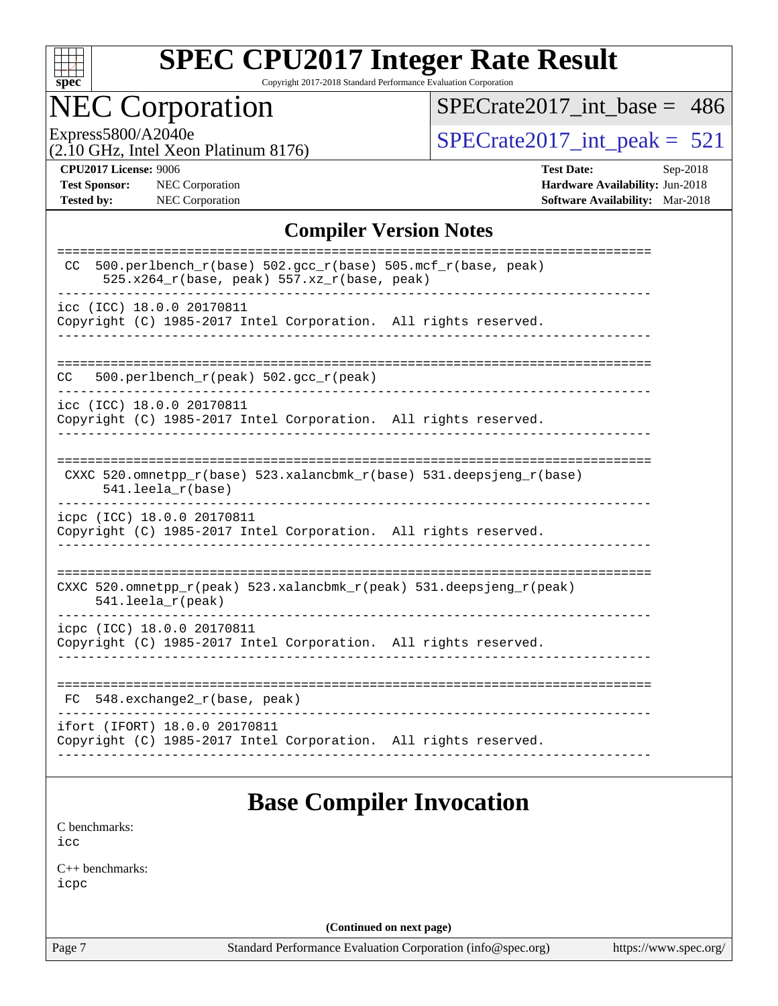

Copyright 2017-2018 Standard Performance Evaluation Corporation

## NEC Corporation

[SPECrate2017\\_int\\_base =](http://www.spec.org/auto/cpu2017/Docs/result-fields.html#SPECrate2017intbase) 486

(2.10 GHz, Intel Xeon Platinum 8176)

Express5800/A2040e<br>  $(2.10 \text{ GHz})$  Intel Xeon Platinum 8176) [SPECrate2017\\_int\\_peak =](http://www.spec.org/auto/cpu2017/Docs/result-fields.html#SPECrate2017intpeak) 521

**[Test Sponsor:](http://www.spec.org/auto/cpu2017/Docs/result-fields.html#TestSponsor)** NEC Corporation **[Hardware Availability:](http://www.spec.org/auto/cpu2017/Docs/result-fields.html#HardwareAvailability)** Jun-2018 **[Tested by:](http://www.spec.org/auto/cpu2017/Docs/result-fields.html#Testedby)** NEC Corporation **[Software Availability:](http://www.spec.org/auto/cpu2017/Docs/result-fields.html#SoftwareAvailability)** Mar-2018

**[CPU2017 License:](http://www.spec.org/auto/cpu2017/Docs/result-fields.html#CPU2017License)** 9006 **[Test Date:](http://www.spec.org/auto/cpu2017/Docs/result-fields.html#TestDate)** Sep-2018

#### **[Compiler Version Notes](http://www.spec.org/auto/cpu2017/Docs/result-fields.html#CompilerVersionNotes)**

| 500.perlbench_r(base) 502.gcc_r(base) 505.mcf_r(base, peak)<br>CC<br>525.x264_r(base, peak) 557.xz_r(base, peak) |
|------------------------------------------------------------------------------------------------------------------|
| icc (ICC) 18.0.0 20170811<br>Copyright (C) 1985-2017 Intel Corporation. All rights reserved.                     |
| 500.perlbench $r(\text{peak})$ 502.gcc $r(\text{peak})$<br>CC                                                    |
| icc (ICC) 18.0.0 20170811<br>Copyright (C) 1985-2017 Intel Corporation. All rights reserved.                     |
| CXXC 520.omnetpp_r(base) 523.xalancbmk_r(base) 531.deepsjeng_r(base)<br>541.leela_r(base)                        |
| icpc (ICC) 18.0.0 20170811<br>Copyright (C) 1985-2017 Intel Corporation. All rights reserved.                    |
| CXXC 520.omnetpp_r(peak) 523.xalancbmk_r(peak) 531.deepsjeng_r(peak)<br>$541.$ leela r(peak)                     |
| icpc (ICC) 18.0.0 20170811<br>Copyright (C) 1985-2017 Intel Corporation. All rights reserved.                    |
| $548$ . exchange2 $r(base, peak)$<br>FC                                                                          |
| ifort (IFORT) 18.0.0 20170811<br>Copyright (C) 1985-2017 Intel Corporation. All rights reserved.                 |

#### **[Base Compiler Invocation](http://www.spec.org/auto/cpu2017/Docs/result-fields.html#BaseCompilerInvocation)**

[C benchmarks](http://www.spec.org/auto/cpu2017/Docs/result-fields.html#Cbenchmarks): [icc](http://www.spec.org/cpu2017/results/res2018q4/cpu2017-20180917-08904.flags.html#user_CCbase_intel_icc_18.0_66fc1ee009f7361af1fbd72ca7dcefbb700085f36577c54f309893dd4ec40d12360134090235512931783d35fd58c0460139e722d5067c5574d8eaf2b3e37e92)

[C++ benchmarks:](http://www.spec.org/auto/cpu2017/Docs/result-fields.html#CXXbenchmarks) [icpc](http://www.spec.org/cpu2017/results/res2018q4/cpu2017-20180917-08904.flags.html#user_CXXbase_intel_icpc_18.0_c510b6838c7f56d33e37e94d029a35b4a7bccf4766a728ee175e80a419847e808290a9b78be685c44ab727ea267ec2f070ec5dc83b407c0218cded6866a35d07)

**(Continued on next page)**

Page 7 Standard Performance Evaluation Corporation [\(info@spec.org\)](mailto:info@spec.org) <https://www.spec.org/>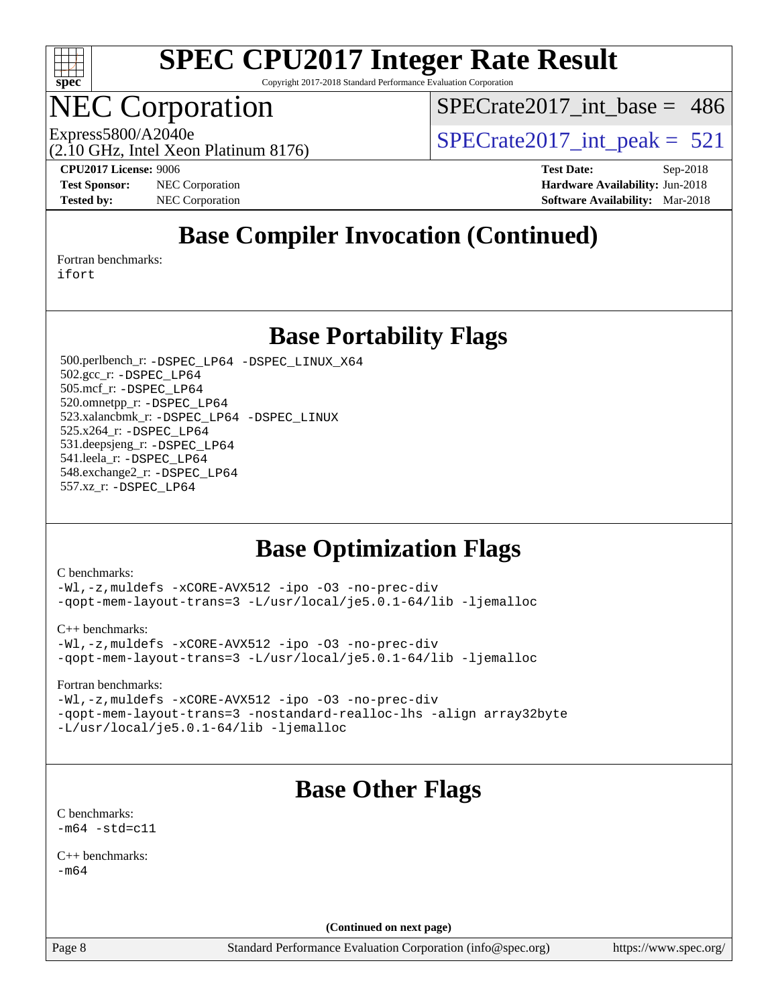

Copyright 2017-2018 Standard Performance Evaluation Corporation

# NEC Corporation

[SPECrate2017\\_int\\_base =](http://www.spec.org/auto/cpu2017/Docs/result-fields.html#SPECrate2017intbase) 486

(2.10 GHz, Intel Xeon Platinum 8176)

Express5800/A2040e<br>  $\text{SPECrate2017\_int\_peak} = 521$ 

**[CPU2017 License:](http://www.spec.org/auto/cpu2017/Docs/result-fields.html#CPU2017License)** 9006 **[Test Date:](http://www.spec.org/auto/cpu2017/Docs/result-fields.html#TestDate)** Sep-2018 **[Test Sponsor:](http://www.spec.org/auto/cpu2017/Docs/result-fields.html#TestSponsor)** NEC Corporation **[Hardware Availability:](http://www.spec.org/auto/cpu2017/Docs/result-fields.html#HardwareAvailability)** Jun-2018 **[Tested by:](http://www.spec.org/auto/cpu2017/Docs/result-fields.html#Testedby)** NEC Corporation **[Software Availability:](http://www.spec.org/auto/cpu2017/Docs/result-fields.html#SoftwareAvailability)** Mar-2018

### **[Base Compiler Invocation \(Continued\)](http://www.spec.org/auto/cpu2017/Docs/result-fields.html#BaseCompilerInvocation)**

[Fortran benchmarks](http://www.spec.org/auto/cpu2017/Docs/result-fields.html#Fortranbenchmarks): [ifort](http://www.spec.org/cpu2017/results/res2018q4/cpu2017-20180917-08904.flags.html#user_FCbase_intel_ifort_18.0_8111460550e3ca792625aed983ce982f94888b8b503583aa7ba2b8303487b4d8a21a13e7191a45c5fd58ff318f48f9492884d4413fa793fd88dd292cad7027ca)

**[Base Portability Flags](http://www.spec.org/auto/cpu2017/Docs/result-fields.html#BasePortabilityFlags)**

 500.perlbench\_r: [-DSPEC\\_LP64](http://www.spec.org/cpu2017/results/res2018q4/cpu2017-20180917-08904.flags.html#b500.perlbench_r_basePORTABILITY_DSPEC_LP64) [-DSPEC\\_LINUX\\_X64](http://www.spec.org/cpu2017/results/res2018q4/cpu2017-20180917-08904.flags.html#b500.perlbench_r_baseCPORTABILITY_DSPEC_LINUX_X64) 502.gcc\_r: [-DSPEC\\_LP64](http://www.spec.org/cpu2017/results/res2018q4/cpu2017-20180917-08904.flags.html#suite_basePORTABILITY502_gcc_r_DSPEC_LP64) 505.mcf\_r: [-DSPEC\\_LP64](http://www.spec.org/cpu2017/results/res2018q4/cpu2017-20180917-08904.flags.html#suite_basePORTABILITY505_mcf_r_DSPEC_LP64) 520.omnetpp\_r: [-DSPEC\\_LP64](http://www.spec.org/cpu2017/results/res2018q4/cpu2017-20180917-08904.flags.html#suite_basePORTABILITY520_omnetpp_r_DSPEC_LP64) 523.xalancbmk\_r: [-DSPEC\\_LP64](http://www.spec.org/cpu2017/results/res2018q4/cpu2017-20180917-08904.flags.html#suite_basePORTABILITY523_xalancbmk_r_DSPEC_LP64) [-DSPEC\\_LINUX](http://www.spec.org/cpu2017/results/res2018q4/cpu2017-20180917-08904.flags.html#b523.xalancbmk_r_baseCXXPORTABILITY_DSPEC_LINUX) 525.x264\_r: [-DSPEC\\_LP64](http://www.spec.org/cpu2017/results/res2018q4/cpu2017-20180917-08904.flags.html#suite_basePORTABILITY525_x264_r_DSPEC_LP64) 531.deepsjeng\_r: [-DSPEC\\_LP64](http://www.spec.org/cpu2017/results/res2018q4/cpu2017-20180917-08904.flags.html#suite_basePORTABILITY531_deepsjeng_r_DSPEC_LP64) 541.leela\_r: [-DSPEC\\_LP64](http://www.spec.org/cpu2017/results/res2018q4/cpu2017-20180917-08904.flags.html#suite_basePORTABILITY541_leela_r_DSPEC_LP64) 548.exchange2\_r: [-DSPEC\\_LP64](http://www.spec.org/cpu2017/results/res2018q4/cpu2017-20180917-08904.flags.html#suite_basePORTABILITY548_exchange2_r_DSPEC_LP64) 557.xz\_r: [-DSPEC\\_LP64](http://www.spec.org/cpu2017/results/res2018q4/cpu2017-20180917-08904.flags.html#suite_basePORTABILITY557_xz_r_DSPEC_LP64)

#### **[Base Optimization Flags](http://www.spec.org/auto/cpu2017/Docs/result-fields.html#BaseOptimizationFlags)**

[C benchmarks](http://www.spec.org/auto/cpu2017/Docs/result-fields.html#Cbenchmarks):

[-Wl,-z,muldefs](http://www.spec.org/cpu2017/results/res2018q4/cpu2017-20180917-08904.flags.html#user_CCbase_link_force_multiple1_b4cbdb97b34bdee9ceefcfe54f4c8ea74255f0b02a4b23e853cdb0e18eb4525ac79b5a88067c842dd0ee6996c24547a27a4b99331201badda8798ef8a743f577) [-xCORE-AVX512](http://www.spec.org/cpu2017/results/res2018q4/cpu2017-20180917-08904.flags.html#user_CCbase_f-xCORE-AVX512) [-ipo](http://www.spec.org/cpu2017/results/res2018q4/cpu2017-20180917-08904.flags.html#user_CCbase_f-ipo) [-O3](http://www.spec.org/cpu2017/results/res2018q4/cpu2017-20180917-08904.flags.html#user_CCbase_f-O3) [-no-prec-div](http://www.spec.org/cpu2017/results/res2018q4/cpu2017-20180917-08904.flags.html#user_CCbase_f-no-prec-div) [-qopt-mem-layout-trans=3](http://www.spec.org/cpu2017/results/res2018q4/cpu2017-20180917-08904.flags.html#user_CCbase_f-qopt-mem-layout-trans_de80db37974c74b1f0e20d883f0b675c88c3b01e9d123adea9b28688d64333345fb62bc4a798493513fdb68f60282f9a726aa07f478b2f7113531aecce732043) [-L/usr/local/je5.0.1-64/lib](http://www.spec.org/cpu2017/results/res2018q4/cpu2017-20180917-08904.flags.html#user_CCbase_jemalloc_link_path64_4b10a636b7bce113509b17f3bd0d6226c5fb2346b9178c2d0232c14f04ab830f976640479e5c33dc2bcbbdad86ecfb6634cbbd4418746f06f368b512fced5394) [-ljemalloc](http://www.spec.org/cpu2017/results/res2018q4/cpu2017-20180917-08904.flags.html#user_CCbase_jemalloc_link_lib_d1249b907c500fa1c0672f44f562e3d0f79738ae9e3c4a9c376d49f265a04b9c99b167ecedbf6711b3085be911c67ff61f150a17b3472be731631ba4d0471706)

[C++ benchmarks:](http://www.spec.org/auto/cpu2017/Docs/result-fields.html#CXXbenchmarks)

[-Wl,-z,muldefs](http://www.spec.org/cpu2017/results/res2018q4/cpu2017-20180917-08904.flags.html#user_CXXbase_link_force_multiple1_b4cbdb97b34bdee9ceefcfe54f4c8ea74255f0b02a4b23e853cdb0e18eb4525ac79b5a88067c842dd0ee6996c24547a27a4b99331201badda8798ef8a743f577) [-xCORE-AVX512](http://www.spec.org/cpu2017/results/res2018q4/cpu2017-20180917-08904.flags.html#user_CXXbase_f-xCORE-AVX512) [-ipo](http://www.spec.org/cpu2017/results/res2018q4/cpu2017-20180917-08904.flags.html#user_CXXbase_f-ipo) [-O3](http://www.spec.org/cpu2017/results/res2018q4/cpu2017-20180917-08904.flags.html#user_CXXbase_f-O3) [-no-prec-div](http://www.spec.org/cpu2017/results/res2018q4/cpu2017-20180917-08904.flags.html#user_CXXbase_f-no-prec-div) [-qopt-mem-layout-trans=3](http://www.spec.org/cpu2017/results/res2018q4/cpu2017-20180917-08904.flags.html#user_CXXbase_f-qopt-mem-layout-trans_de80db37974c74b1f0e20d883f0b675c88c3b01e9d123adea9b28688d64333345fb62bc4a798493513fdb68f60282f9a726aa07f478b2f7113531aecce732043) [-L/usr/local/je5.0.1-64/lib](http://www.spec.org/cpu2017/results/res2018q4/cpu2017-20180917-08904.flags.html#user_CXXbase_jemalloc_link_path64_4b10a636b7bce113509b17f3bd0d6226c5fb2346b9178c2d0232c14f04ab830f976640479e5c33dc2bcbbdad86ecfb6634cbbd4418746f06f368b512fced5394) [-ljemalloc](http://www.spec.org/cpu2017/results/res2018q4/cpu2017-20180917-08904.flags.html#user_CXXbase_jemalloc_link_lib_d1249b907c500fa1c0672f44f562e3d0f79738ae9e3c4a9c376d49f265a04b9c99b167ecedbf6711b3085be911c67ff61f150a17b3472be731631ba4d0471706)

[Fortran benchmarks](http://www.spec.org/auto/cpu2017/Docs/result-fields.html#Fortranbenchmarks):

[-Wl,-z,muldefs](http://www.spec.org/cpu2017/results/res2018q4/cpu2017-20180917-08904.flags.html#user_FCbase_link_force_multiple1_b4cbdb97b34bdee9ceefcfe54f4c8ea74255f0b02a4b23e853cdb0e18eb4525ac79b5a88067c842dd0ee6996c24547a27a4b99331201badda8798ef8a743f577) [-xCORE-AVX512](http://www.spec.org/cpu2017/results/res2018q4/cpu2017-20180917-08904.flags.html#user_FCbase_f-xCORE-AVX512) [-ipo](http://www.spec.org/cpu2017/results/res2018q4/cpu2017-20180917-08904.flags.html#user_FCbase_f-ipo) [-O3](http://www.spec.org/cpu2017/results/res2018q4/cpu2017-20180917-08904.flags.html#user_FCbase_f-O3) [-no-prec-div](http://www.spec.org/cpu2017/results/res2018q4/cpu2017-20180917-08904.flags.html#user_FCbase_f-no-prec-div) [-qopt-mem-layout-trans=3](http://www.spec.org/cpu2017/results/res2018q4/cpu2017-20180917-08904.flags.html#user_FCbase_f-qopt-mem-layout-trans_de80db37974c74b1f0e20d883f0b675c88c3b01e9d123adea9b28688d64333345fb62bc4a798493513fdb68f60282f9a726aa07f478b2f7113531aecce732043) [-nostandard-realloc-lhs](http://www.spec.org/cpu2017/results/res2018q4/cpu2017-20180917-08904.flags.html#user_FCbase_f_2003_std_realloc_82b4557e90729c0f113870c07e44d33d6f5a304b4f63d4c15d2d0f1fab99f5daaed73bdb9275d9ae411527f28b936061aa8b9c8f2d63842963b95c9dd6426b8a) [-align array32byte](http://www.spec.org/cpu2017/results/res2018q4/cpu2017-20180917-08904.flags.html#user_FCbase_align_array32byte_b982fe038af199962ba9a80c053b8342c548c85b40b8e86eb3cc33dee0d7986a4af373ac2d51c3f7cf710a18d62fdce2948f201cd044323541f22fc0fffc51b6) [-L/usr/local/je5.0.1-64/lib](http://www.spec.org/cpu2017/results/res2018q4/cpu2017-20180917-08904.flags.html#user_FCbase_jemalloc_link_path64_4b10a636b7bce113509b17f3bd0d6226c5fb2346b9178c2d0232c14f04ab830f976640479e5c33dc2bcbbdad86ecfb6634cbbd4418746f06f368b512fced5394) [-ljemalloc](http://www.spec.org/cpu2017/results/res2018q4/cpu2017-20180917-08904.flags.html#user_FCbase_jemalloc_link_lib_d1249b907c500fa1c0672f44f562e3d0f79738ae9e3c4a9c376d49f265a04b9c99b167ecedbf6711b3085be911c67ff61f150a17b3472be731631ba4d0471706)

### **[Base Other Flags](http://www.spec.org/auto/cpu2017/Docs/result-fields.html#BaseOtherFlags)**

[C benchmarks](http://www.spec.org/auto/cpu2017/Docs/result-fields.html#Cbenchmarks):  $-m64 - std= c11$  $-m64 - std= c11$ 

[C++ benchmarks:](http://www.spec.org/auto/cpu2017/Docs/result-fields.html#CXXbenchmarks)  $-m64$ 

**(Continued on next page)**

Page 8 Standard Performance Evaluation Corporation [\(info@spec.org\)](mailto:info@spec.org) <https://www.spec.org/>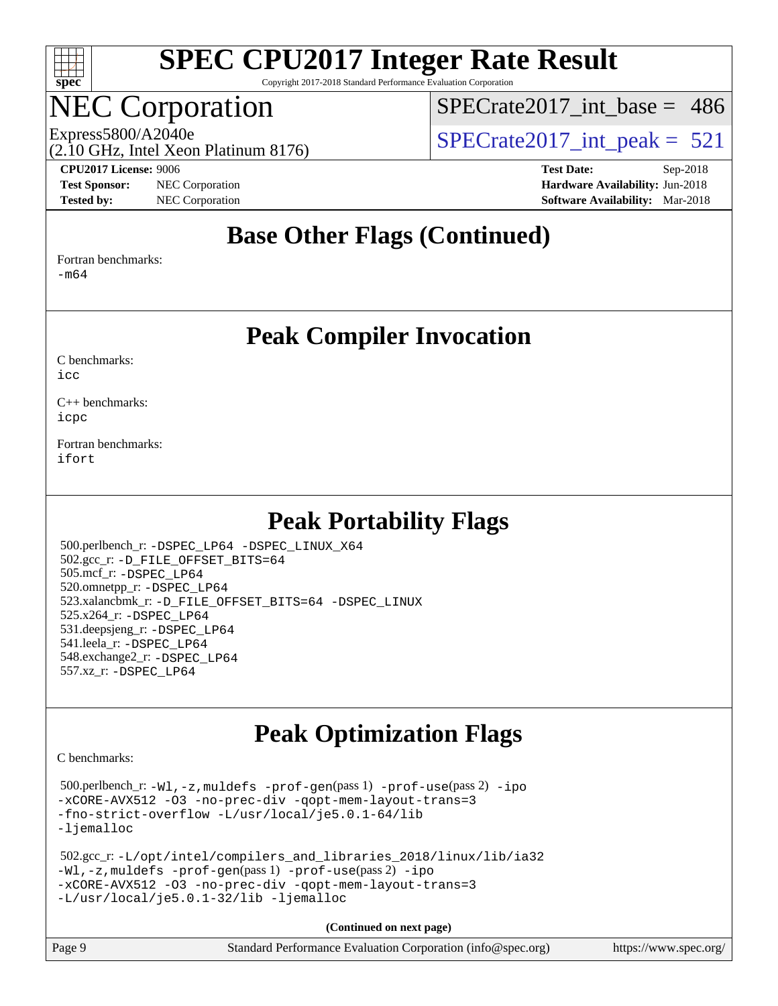

Copyright 2017-2018 Standard Performance Evaluation Corporation

### NEC Corporation

[SPECrate2017\\_int\\_base =](http://www.spec.org/auto/cpu2017/Docs/result-fields.html#SPECrate2017intbase) 486

(2.10 GHz, Intel Xeon Platinum 8176)

#### **[CPU2017 License:](http://www.spec.org/auto/cpu2017/Docs/result-fields.html#CPU2017License)** 9006 **[Test Date:](http://www.spec.org/auto/cpu2017/Docs/result-fields.html#TestDate)** Sep-2018

**[Test Sponsor:](http://www.spec.org/auto/cpu2017/Docs/result-fields.html#TestSponsor)** NEC Corporation **[Hardware Availability:](http://www.spec.org/auto/cpu2017/Docs/result-fields.html#HardwareAvailability)** Jun-2018

Express5800/A2040e<br>  $\text{SPECrate2017\_int\_peak} = 521$ 

**[Tested by:](http://www.spec.org/auto/cpu2017/Docs/result-fields.html#Testedby)** NEC Corporation **[Software Availability:](http://www.spec.org/auto/cpu2017/Docs/result-fields.html#SoftwareAvailability)** Mar-2018

#### **[Base Other Flags \(Continued\)](http://www.spec.org/auto/cpu2017/Docs/result-fields.html#BaseOtherFlags)**

[Fortran benchmarks](http://www.spec.org/auto/cpu2017/Docs/result-fields.html#Fortranbenchmarks):

[-m64](http://www.spec.org/cpu2017/results/res2018q4/cpu2017-20180917-08904.flags.html#user_FCbase_intel_intel64_18.0_af43caccfc8ded86e7699f2159af6efc7655f51387b94da716254467f3c01020a5059329e2569e4053f409e7c9202a7efc638f7a6d1ffb3f52dea4a3e31d82ab)

#### **[Peak Compiler Invocation](http://www.spec.org/auto/cpu2017/Docs/result-fields.html#PeakCompilerInvocation)**

[C benchmarks](http://www.spec.org/auto/cpu2017/Docs/result-fields.html#Cbenchmarks):  $i$ cc

[C++ benchmarks:](http://www.spec.org/auto/cpu2017/Docs/result-fields.html#CXXbenchmarks) [icpc](http://www.spec.org/cpu2017/results/res2018q4/cpu2017-20180917-08904.flags.html#user_CXXpeak_intel_icpc_18.0_c510b6838c7f56d33e37e94d029a35b4a7bccf4766a728ee175e80a419847e808290a9b78be685c44ab727ea267ec2f070ec5dc83b407c0218cded6866a35d07)

[Fortran benchmarks](http://www.spec.org/auto/cpu2017/Docs/result-fields.html#Fortranbenchmarks): [ifort](http://www.spec.org/cpu2017/results/res2018q4/cpu2017-20180917-08904.flags.html#user_FCpeak_intel_ifort_18.0_8111460550e3ca792625aed983ce982f94888b8b503583aa7ba2b8303487b4d8a21a13e7191a45c5fd58ff318f48f9492884d4413fa793fd88dd292cad7027ca)

#### **[Peak Portability Flags](http://www.spec.org/auto/cpu2017/Docs/result-fields.html#PeakPortabilityFlags)**

 500.perlbench\_r: [-DSPEC\\_LP64](http://www.spec.org/cpu2017/results/res2018q4/cpu2017-20180917-08904.flags.html#b500.perlbench_r_peakPORTABILITY_DSPEC_LP64) [-DSPEC\\_LINUX\\_X64](http://www.spec.org/cpu2017/results/res2018q4/cpu2017-20180917-08904.flags.html#b500.perlbench_r_peakCPORTABILITY_DSPEC_LINUX_X64) 502.gcc\_r: [-D\\_FILE\\_OFFSET\\_BITS=64](http://www.spec.org/cpu2017/results/res2018q4/cpu2017-20180917-08904.flags.html#user_peakPORTABILITY502_gcc_r_file_offset_bits_64_5ae949a99b284ddf4e95728d47cb0843d81b2eb0e18bdfe74bbf0f61d0b064f4bda2f10ea5eb90e1dcab0e84dbc592acfc5018bc955c18609f94ddb8d550002c) 505.mcf\_r: [-DSPEC\\_LP64](http://www.spec.org/cpu2017/results/res2018q4/cpu2017-20180917-08904.flags.html#suite_peakPORTABILITY505_mcf_r_DSPEC_LP64) 520.omnetpp\_r: [-DSPEC\\_LP64](http://www.spec.org/cpu2017/results/res2018q4/cpu2017-20180917-08904.flags.html#suite_peakPORTABILITY520_omnetpp_r_DSPEC_LP64) 523.xalancbmk\_r: [-D\\_FILE\\_OFFSET\\_BITS=64](http://www.spec.org/cpu2017/results/res2018q4/cpu2017-20180917-08904.flags.html#user_peakPORTABILITY523_xalancbmk_r_file_offset_bits_64_5ae949a99b284ddf4e95728d47cb0843d81b2eb0e18bdfe74bbf0f61d0b064f4bda2f10ea5eb90e1dcab0e84dbc592acfc5018bc955c18609f94ddb8d550002c) [-DSPEC\\_LINUX](http://www.spec.org/cpu2017/results/res2018q4/cpu2017-20180917-08904.flags.html#b523.xalancbmk_r_peakCXXPORTABILITY_DSPEC_LINUX) 525.x264\_r: [-DSPEC\\_LP64](http://www.spec.org/cpu2017/results/res2018q4/cpu2017-20180917-08904.flags.html#suite_peakPORTABILITY525_x264_r_DSPEC_LP64) 531.deepsjeng\_r: [-DSPEC\\_LP64](http://www.spec.org/cpu2017/results/res2018q4/cpu2017-20180917-08904.flags.html#suite_peakPORTABILITY531_deepsjeng_r_DSPEC_LP64) 541.leela\_r: [-DSPEC\\_LP64](http://www.spec.org/cpu2017/results/res2018q4/cpu2017-20180917-08904.flags.html#suite_peakPORTABILITY541_leela_r_DSPEC_LP64) 548.exchange2\_r: [-DSPEC\\_LP64](http://www.spec.org/cpu2017/results/res2018q4/cpu2017-20180917-08904.flags.html#suite_peakPORTABILITY548_exchange2_r_DSPEC_LP64) 557.xz\_r: [-DSPEC\\_LP64](http://www.spec.org/cpu2017/results/res2018q4/cpu2017-20180917-08904.flags.html#suite_peakPORTABILITY557_xz_r_DSPEC_LP64)

### **[Peak Optimization Flags](http://www.spec.org/auto/cpu2017/Docs/result-fields.html#PeakOptimizationFlags)**

[C benchmarks](http://www.spec.org/auto/cpu2017/Docs/result-fields.html#Cbenchmarks):

 500.perlbench\_r: [-Wl,-z,muldefs](http://www.spec.org/cpu2017/results/res2018q4/cpu2017-20180917-08904.flags.html#user_peakEXTRA_LDFLAGS500_perlbench_r_link_force_multiple1_b4cbdb97b34bdee9ceefcfe54f4c8ea74255f0b02a4b23e853cdb0e18eb4525ac79b5a88067c842dd0ee6996c24547a27a4b99331201badda8798ef8a743f577) [-prof-gen](http://www.spec.org/cpu2017/results/res2018q4/cpu2017-20180917-08904.flags.html#user_peakPASS1_CFLAGSPASS1_LDFLAGS500_perlbench_r_prof_gen_5aa4926d6013ddb2a31985c654b3eb18169fc0c6952a63635c234f711e6e63dd76e94ad52365559451ec499a2cdb89e4dc58ba4c67ef54ca681ffbe1461d6b36)(pass 1) [-prof-use](http://www.spec.org/cpu2017/results/res2018q4/cpu2017-20180917-08904.flags.html#user_peakPASS2_CFLAGSPASS2_LDFLAGS500_perlbench_r_prof_use_1a21ceae95f36a2b53c25747139a6c16ca95bd9def2a207b4f0849963b97e94f5260e30a0c64f4bb623698870e679ca08317ef8150905d41bd88c6f78df73f19)(pass 2) [-ipo](http://www.spec.org/cpu2017/results/res2018q4/cpu2017-20180917-08904.flags.html#user_peakPASS1_COPTIMIZEPASS2_COPTIMIZE500_perlbench_r_f-ipo) [-xCORE-AVX512](http://www.spec.org/cpu2017/results/res2018q4/cpu2017-20180917-08904.flags.html#user_peakPASS2_COPTIMIZE500_perlbench_r_f-xCORE-AVX512) [-O3](http://www.spec.org/cpu2017/results/res2018q4/cpu2017-20180917-08904.flags.html#user_peakPASS1_COPTIMIZEPASS2_COPTIMIZE500_perlbench_r_f-O3) [-no-prec-div](http://www.spec.org/cpu2017/results/res2018q4/cpu2017-20180917-08904.flags.html#user_peakPASS1_COPTIMIZEPASS2_COPTIMIZE500_perlbench_r_f-no-prec-div) [-qopt-mem-layout-trans=3](http://www.spec.org/cpu2017/results/res2018q4/cpu2017-20180917-08904.flags.html#user_peakPASS1_COPTIMIZEPASS2_COPTIMIZE500_perlbench_r_f-qopt-mem-layout-trans_de80db37974c74b1f0e20d883f0b675c88c3b01e9d123adea9b28688d64333345fb62bc4a798493513fdb68f60282f9a726aa07f478b2f7113531aecce732043) [-fno-strict-overflow](http://www.spec.org/cpu2017/results/res2018q4/cpu2017-20180917-08904.flags.html#user_peakEXTRA_OPTIMIZE500_perlbench_r_f-fno-strict-overflow) [-L/usr/local/je5.0.1-64/lib](http://www.spec.org/cpu2017/results/res2018q4/cpu2017-20180917-08904.flags.html#user_peakEXTRA_LIBS500_perlbench_r_jemalloc_link_path64_4b10a636b7bce113509b17f3bd0d6226c5fb2346b9178c2d0232c14f04ab830f976640479e5c33dc2bcbbdad86ecfb6634cbbd4418746f06f368b512fced5394) [-ljemalloc](http://www.spec.org/cpu2017/results/res2018q4/cpu2017-20180917-08904.flags.html#user_peakEXTRA_LIBS500_perlbench_r_jemalloc_link_lib_d1249b907c500fa1c0672f44f562e3d0f79738ae9e3c4a9c376d49f265a04b9c99b167ecedbf6711b3085be911c67ff61f150a17b3472be731631ba4d0471706)

```
 502.gcc_r: -L/opt/intel/compilers_and_libraries_2018/linux/lib/ia32
-Wl,-z,muldefs -prof-gen(pass 1) -prof-use(pass 2) -ipo
-xCORE-AVX512 -O3 -no-prec-div -qopt-mem-layout-trans=3
-L/usr/local/je5.0.1-32/lib -ljemalloc
```

| Page 9 | Standard Performance Evaluation Corporation (info@spec.org) | https://www.spec.org/ |
|--------|-------------------------------------------------------------|-----------------------|
|        |                                                             |                       |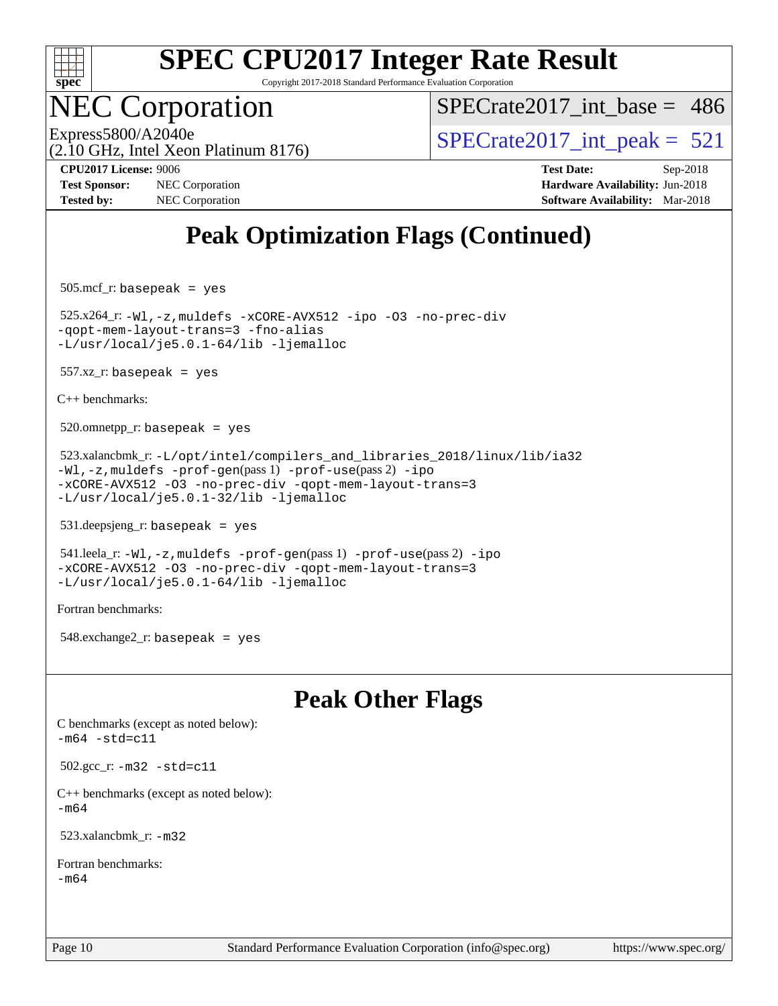

Copyright 2017-2018 Standard Performance Evaluation Corporation

### **EC Corporation**

 $SPECrate2017\_int\_base = 486$ 

(2.10 GHz, Intel Xeon Platinum 8176)

Express5800/A2040e<br>  $\angle$  [SPECrate2017\\_int\\_peak =](http://www.spec.org/auto/cpu2017/Docs/result-fields.html#SPECrate2017intpeak) 521

**[Test Sponsor:](http://www.spec.org/auto/cpu2017/Docs/result-fields.html#TestSponsor)** NEC Corporation **[Hardware Availability:](http://www.spec.org/auto/cpu2017/Docs/result-fields.html#HardwareAvailability)** Jun-2018 **[Tested by:](http://www.spec.org/auto/cpu2017/Docs/result-fields.html#Testedby)** NEC Corporation **[Software Availability:](http://www.spec.org/auto/cpu2017/Docs/result-fields.html#SoftwareAvailability)** Mar-2018

**[CPU2017 License:](http://www.spec.org/auto/cpu2017/Docs/result-fields.html#CPU2017License)** 9006 **[Test Date:](http://www.spec.org/auto/cpu2017/Docs/result-fields.html#TestDate)** Sep-2018

### **[Peak Optimization Flags \(Continued\)](http://www.spec.org/auto/cpu2017/Docs/result-fields.html#PeakOptimizationFlags)**

505.mcf\_r: basepeak = yes

 525.x264\_r: [-Wl,-z,muldefs](http://www.spec.org/cpu2017/results/res2018q4/cpu2017-20180917-08904.flags.html#user_peakEXTRA_LDFLAGS525_x264_r_link_force_multiple1_b4cbdb97b34bdee9ceefcfe54f4c8ea74255f0b02a4b23e853cdb0e18eb4525ac79b5a88067c842dd0ee6996c24547a27a4b99331201badda8798ef8a743f577) [-xCORE-AVX512](http://www.spec.org/cpu2017/results/res2018q4/cpu2017-20180917-08904.flags.html#user_peakCOPTIMIZE525_x264_r_f-xCORE-AVX512) [-ipo](http://www.spec.org/cpu2017/results/res2018q4/cpu2017-20180917-08904.flags.html#user_peakCOPTIMIZE525_x264_r_f-ipo) [-O3](http://www.spec.org/cpu2017/results/res2018q4/cpu2017-20180917-08904.flags.html#user_peakCOPTIMIZE525_x264_r_f-O3) [-no-prec-div](http://www.spec.org/cpu2017/results/res2018q4/cpu2017-20180917-08904.flags.html#user_peakCOPTIMIZE525_x264_r_f-no-prec-div) [-qopt-mem-layout-trans=3](http://www.spec.org/cpu2017/results/res2018q4/cpu2017-20180917-08904.flags.html#user_peakCOPTIMIZE525_x264_r_f-qopt-mem-layout-trans_de80db37974c74b1f0e20d883f0b675c88c3b01e9d123adea9b28688d64333345fb62bc4a798493513fdb68f60282f9a726aa07f478b2f7113531aecce732043) [-fno-alias](http://www.spec.org/cpu2017/results/res2018q4/cpu2017-20180917-08904.flags.html#user_peakEXTRA_OPTIMIZE525_x264_r_f-no-alias_77dbac10d91cbfe898fbf4a29d1b29b694089caa623bdd1baccc9957d4edbe8d106c0b357e2748a65b44fc9e83d78098bb898077f3fe92f9faf24f7bd4a07ed7) [-L/usr/local/je5.0.1-64/lib](http://www.spec.org/cpu2017/results/res2018q4/cpu2017-20180917-08904.flags.html#user_peakEXTRA_LIBS525_x264_r_jemalloc_link_path64_4b10a636b7bce113509b17f3bd0d6226c5fb2346b9178c2d0232c14f04ab830f976640479e5c33dc2bcbbdad86ecfb6634cbbd4418746f06f368b512fced5394) [-ljemalloc](http://www.spec.org/cpu2017/results/res2018q4/cpu2017-20180917-08904.flags.html#user_peakEXTRA_LIBS525_x264_r_jemalloc_link_lib_d1249b907c500fa1c0672f44f562e3d0f79738ae9e3c4a9c376d49f265a04b9c99b167ecedbf6711b3085be911c67ff61f150a17b3472be731631ba4d0471706)

 $557.xz$  r: basepeak = yes

[C++ benchmarks:](http://www.spec.org/auto/cpu2017/Docs/result-fields.html#CXXbenchmarks)

 $520.$ omnetpp\_r: basepeak = yes

 523.xalancbmk\_r: [-L/opt/intel/compilers\\_and\\_libraries\\_2018/linux/lib/ia32](http://www.spec.org/cpu2017/results/res2018q4/cpu2017-20180917-08904.flags.html#user_peakCXXLD523_xalancbmk_r_Enable-32bit-runtime_af243bdb1d79e4c7a4f720bf8275e627de2ecd461de63307bc14cef0633fde3cd7bb2facb32dcc8be9566045fb55d40ce2b72b725f73827aa7833441b71b9343) [-Wl,-z,muldefs](http://www.spec.org/cpu2017/results/res2018q4/cpu2017-20180917-08904.flags.html#user_peakEXTRA_LDFLAGS523_xalancbmk_r_link_force_multiple1_b4cbdb97b34bdee9ceefcfe54f4c8ea74255f0b02a4b23e853cdb0e18eb4525ac79b5a88067c842dd0ee6996c24547a27a4b99331201badda8798ef8a743f577) [-prof-gen](http://www.spec.org/cpu2017/results/res2018q4/cpu2017-20180917-08904.flags.html#user_peakPASS1_CXXFLAGSPASS1_LDFLAGS523_xalancbmk_r_prof_gen_5aa4926d6013ddb2a31985c654b3eb18169fc0c6952a63635c234f711e6e63dd76e94ad52365559451ec499a2cdb89e4dc58ba4c67ef54ca681ffbe1461d6b36)(pass 1) [-prof-use](http://www.spec.org/cpu2017/results/res2018q4/cpu2017-20180917-08904.flags.html#user_peakPASS2_CXXFLAGSPASS2_LDFLAGS523_xalancbmk_r_prof_use_1a21ceae95f36a2b53c25747139a6c16ca95bd9def2a207b4f0849963b97e94f5260e30a0c64f4bb623698870e679ca08317ef8150905d41bd88c6f78df73f19)(pass 2) [-ipo](http://www.spec.org/cpu2017/results/res2018q4/cpu2017-20180917-08904.flags.html#user_peakPASS1_CXXOPTIMIZEPASS2_CXXOPTIMIZE523_xalancbmk_r_f-ipo) [-xCORE-AVX512](http://www.spec.org/cpu2017/results/res2018q4/cpu2017-20180917-08904.flags.html#user_peakPASS2_CXXOPTIMIZE523_xalancbmk_r_f-xCORE-AVX512) [-O3](http://www.spec.org/cpu2017/results/res2018q4/cpu2017-20180917-08904.flags.html#user_peakPASS1_CXXOPTIMIZEPASS2_CXXOPTIMIZE523_xalancbmk_r_f-O3) [-no-prec-div](http://www.spec.org/cpu2017/results/res2018q4/cpu2017-20180917-08904.flags.html#user_peakPASS1_CXXOPTIMIZEPASS2_CXXOPTIMIZE523_xalancbmk_r_f-no-prec-div) [-qopt-mem-layout-trans=3](http://www.spec.org/cpu2017/results/res2018q4/cpu2017-20180917-08904.flags.html#user_peakPASS1_CXXOPTIMIZEPASS2_CXXOPTIMIZE523_xalancbmk_r_f-qopt-mem-layout-trans_de80db37974c74b1f0e20d883f0b675c88c3b01e9d123adea9b28688d64333345fb62bc4a798493513fdb68f60282f9a726aa07f478b2f7113531aecce732043) [-L/usr/local/je5.0.1-32/lib](http://www.spec.org/cpu2017/results/res2018q4/cpu2017-20180917-08904.flags.html#user_peakEXTRA_LIBS523_xalancbmk_r_jemalloc_link_path32_e29f22e8e6c17053bbc6a0971f5a9c01a601a06bb1a59df2084b77a2fe0a2995b64fd4256feaeea39eeba3aae142e96e2b2b0a28974019c0c0c88139a84f900a) [-ljemalloc](http://www.spec.org/cpu2017/results/res2018q4/cpu2017-20180917-08904.flags.html#user_peakEXTRA_LIBS523_xalancbmk_r_jemalloc_link_lib_d1249b907c500fa1c0672f44f562e3d0f79738ae9e3c4a9c376d49f265a04b9c99b167ecedbf6711b3085be911c67ff61f150a17b3472be731631ba4d0471706)

531.deepsjeng\_r: basepeak = yes

 541.leela\_r: [-Wl,-z,muldefs](http://www.spec.org/cpu2017/results/res2018q4/cpu2017-20180917-08904.flags.html#user_peakEXTRA_LDFLAGS541_leela_r_link_force_multiple1_b4cbdb97b34bdee9ceefcfe54f4c8ea74255f0b02a4b23e853cdb0e18eb4525ac79b5a88067c842dd0ee6996c24547a27a4b99331201badda8798ef8a743f577) [-prof-gen](http://www.spec.org/cpu2017/results/res2018q4/cpu2017-20180917-08904.flags.html#user_peakPASS1_CXXFLAGSPASS1_LDFLAGS541_leela_r_prof_gen_5aa4926d6013ddb2a31985c654b3eb18169fc0c6952a63635c234f711e6e63dd76e94ad52365559451ec499a2cdb89e4dc58ba4c67ef54ca681ffbe1461d6b36)(pass 1) [-prof-use](http://www.spec.org/cpu2017/results/res2018q4/cpu2017-20180917-08904.flags.html#user_peakPASS2_CXXFLAGSPASS2_LDFLAGS541_leela_r_prof_use_1a21ceae95f36a2b53c25747139a6c16ca95bd9def2a207b4f0849963b97e94f5260e30a0c64f4bb623698870e679ca08317ef8150905d41bd88c6f78df73f19)(pass 2) [-ipo](http://www.spec.org/cpu2017/results/res2018q4/cpu2017-20180917-08904.flags.html#user_peakPASS1_CXXOPTIMIZEPASS2_CXXOPTIMIZE541_leela_r_f-ipo) [-xCORE-AVX512](http://www.spec.org/cpu2017/results/res2018q4/cpu2017-20180917-08904.flags.html#user_peakPASS2_CXXOPTIMIZE541_leela_r_f-xCORE-AVX512) [-O3](http://www.spec.org/cpu2017/results/res2018q4/cpu2017-20180917-08904.flags.html#user_peakPASS1_CXXOPTIMIZEPASS2_CXXOPTIMIZE541_leela_r_f-O3) [-no-prec-div](http://www.spec.org/cpu2017/results/res2018q4/cpu2017-20180917-08904.flags.html#user_peakPASS1_CXXOPTIMIZEPASS2_CXXOPTIMIZE541_leela_r_f-no-prec-div) [-qopt-mem-layout-trans=3](http://www.spec.org/cpu2017/results/res2018q4/cpu2017-20180917-08904.flags.html#user_peakPASS1_CXXOPTIMIZEPASS2_CXXOPTIMIZE541_leela_r_f-qopt-mem-layout-trans_de80db37974c74b1f0e20d883f0b675c88c3b01e9d123adea9b28688d64333345fb62bc4a798493513fdb68f60282f9a726aa07f478b2f7113531aecce732043) [-L/usr/local/je5.0.1-64/lib](http://www.spec.org/cpu2017/results/res2018q4/cpu2017-20180917-08904.flags.html#user_peakEXTRA_LIBS541_leela_r_jemalloc_link_path64_4b10a636b7bce113509b17f3bd0d6226c5fb2346b9178c2d0232c14f04ab830f976640479e5c33dc2bcbbdad86ecfb6634cbbd4418746f06f368b512fced5394) [-ljemalloc](http://www.spec.org/cpu2017/results/res2018q4/cpu2017-20180917-08904.flags.html#user_peakEXTRA_LIBS541_leela_r_jemalloc_link_lib_d1249b907c500fa1c0672f44f562e3d0f79738ae9e3c4a9c376d49f265a04b9c99b167ecedbf6711b3085be911c67ff61f150a17b3472be731631ba4d0471706)

[Fortran benchmarks](http://www.spec.org/auto/cpu2017/Docs/result-fields.html#Fortranbenchmarks):

548.exchange2\_r: basepeak = yes

#### **[Peak Other Flags](http://www.spec.org/auto/cpu2017/Docs/result-fields.html#PeakOtherFlags)**

[C benchmarks \(except as noted below\)](http://www.spec.org/auto/cpu2017/Docs/result-fields.html#Cbenchmarksexceptasnotedbelow):  $-m64 - std= c11$  $-m64 - std= c11$ 

502.gcc\_r: [-m32](http://www.spec.org/cpu2017/results/res2018q4/cpu2017-20180917-08904.flags.html#user_peakCCLD502_gcc_r_intel_ia32_18.0_2666f1173eb60787016b673bfe1358e27016ef7649ea4884b7bc6187fd89dc221d14632e22638cde1c647a518de97358ab15d4ad098ee4e19a8b28d0c25e14bf) [-std=c11](http://www.spec.org/cpu2017/results/res2018q4/cpu2017-20180917-08904.flags.html#user_peakCCLD502_gcc_r_intel_compiler_c11_mode_0e1c27790398a4642dfca32ffe6c27b5796f9c2d2676156f2e42c9c44eaad0c049b1cdb667a270c34d979996257aeb8fc440bfb01818dbc9357bd9d174cb8524)

[C++ benchmarks \(except as noted below\):](http://www.spec.org/auto/cpu2017/Docs/result-fields.html#CXXbenchmarksexceptasnotedbelow) [-m64](http://www.spec.org/cpu2017/results/res2018q4/cpu2017-20180917-08904.flags.html#user_CXXpeak_intel_intel64_18.0_af43caccfc8ded86e7699f2159af6efc7655f51387b94da716254467f3c01020a5059329e2569e4053f409e7c9202a7efc638f7a6d1ffb3f52dea4a3e31d82ab)

523.xalancbmk\_r: [-m32](http://www.spec.org/cpu2017/results/res2018q4/cpu2017-20180917-08904.flags.html#user_peakCXXLD523_xalancbmk_r_intel_ia32_18.0_2666f1173eb60787016b673bfe1358e27016ef7649ea4884b7bc6187fd89dc221d14632e22638cde1c647a518de97358ab15d4ad098ee4e19a8b28d0c25e14bf)

[Fortran benchmarks](http://www.spec.org/auto/cpu2017/Docs/result-fields.html#Fortranbenchmarks): [-m64](http://www.spec.org/cpu2017/results/res2018q4/cpu2017-20180917-08904.flags.html#user_FCpeak_intel_intel64_18.0_af43caccfc8ded86e7699f2159af6efc7655f51387b94da716254467f3c01020a5059329e2569e4053f409e7c9202a7efc638f7a6d1ffb3f52dea4a3e31d82ab)